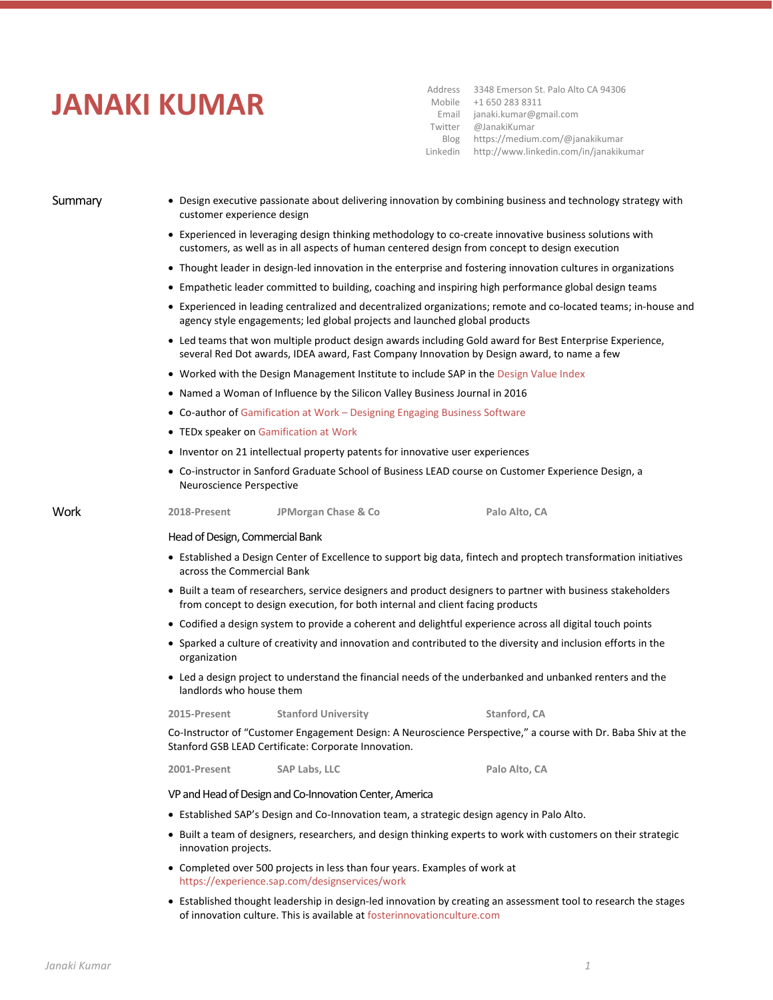## **JANAKI KUMAR**

Address 3348 Emerson St. Palo Alto CA 94306 Mobile +1 650 283 8311 Email Twitter Blog Linkedin janaki.kumar@gmail.com @JanakiKumar https://medium.com/@janakikumar http://www.linkedin.com/in/janakikumar

- Summary Design executive passionate about delivering innovation by combining business and technology strategy with customer experience design
	- Experienced in leveraging design thinking methodology to co-create innovative business solutions with customers, as well as in all aspects of human centered design from concept to design execution
	- Thought leader in design-led innovation in the enterprise and fostering innovation cultures in organizations
	- Empathetic leader committed to building, coaching and inspiring high performance global design teams
	- Experienced in leading centralized and decentralized organizations; remote and co-located teams; in-house and agency style engagements; led global projects and launched global products
	- Led teams that won multiple product design awards including Gold award for Best Enterprise Experience, several Red Dot awards, IDEA award, Fast Company Innovation by Design award, to name a few
	- Worked with the Design Management Institute to include SAP in the [Design Value Index](http://www.dmi.org/?page=DesignValueIndexRes)
	- Named a Woman of Influence by the Silicon Valley Business Journal in 2016
	- Co-author of Gamification at Work [Designing Engaging Business Software](http://www.amazon.com/Gamification-Work-Designing-Engaging-Business/dp/8792964079/ref=sr_1_1?s=books&ie=UTF8&qid=1444189294&sr=1-1&keywords=gamification+at+work)
	- TEDx speaker on [Gamification at Work](https://www.youtube.com/watch?v=6wk4dkY-rV0)
	- Inventor on 21 intellectual property patents for innovative user experiences
	- Co-instructor in Sanford Graduate School of Business LEAD course on Customer Experience Design, a Neuroscience Perspective

## Work **2018-Present JPMorgan Chase & Co Palo Alto, CA**

Head of Design, Commercial Bank

- Established a Design Center of Excellence to support big data, fintech and proptech transformation initiatives across the Commercial Bank
- Built a team of researchers, service designers and product designers to partner with business stakeholders from concept to design execution, for both internal and client facing products
- Codified a design system to provide a coherent and delightful experience across all digital touch points
- Sparked a culture of creativity and innovation and contributed to the diversity and inclusion efforts in the organization
- Led a design project to understand the financial needs of the underbanked and unbanked renters and the landlords who house them

**2015-Present Stanford University Stanford, CA**

Co-Instructor of "Customer Engagement Design: A Neuroscience Perspective," a course with Dr. Baba Shiv at the Stanford GSB LEAD Certificate: Corporate Innovation.

**2001-Present SAP Labs, LLC Palo Alto, CA**

VP and Head of Design and Co-Innovation Center, America

- Established SAP's Design and Co-Innovation team, a strategic design agency in Palo Alto.
- Built a team of designers, researchers, and design thinking experts to work with customers on their strategic innovation projects.
- Completed over 500 projects in less than four years. Examples of work at <https://experience.sap.com/designservices/work>
- Established thought leadership in design-led innovation by creating an assessment tool to research the stages of innovation culture. This is available a[t fosterinnovationculture.com](http://fosterinnovationculture.com/)